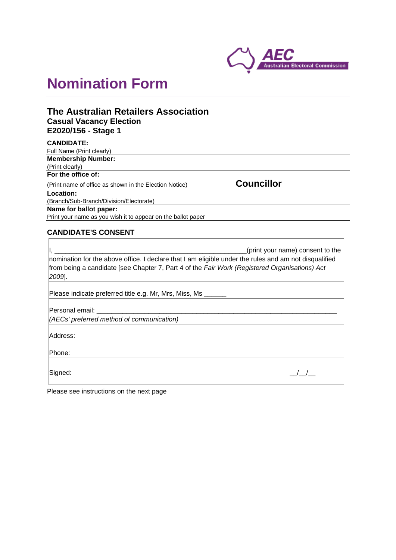

# **Nomination Form**

# **The Australian Retailers Association Casual Vacancy Election E2020/156 - Stage 1**

| <b>Councillor</b> |  |
|-------------------|--|
|                   |  |
|                   |  |
|                   |  |
|                   |  |
|                   |  |

## **CANDIDATE'S CONSENT**

J.

| (print your name) consent to the<br>nomination for the above office. I declare that I am eligible under the rules and am not disqualified<br>from being a candidate [see Chapter 7, Part 4 of the Fair Work (Registered Organisations) Act<br>$[2009]$ . |
|----------------------------------------------------------------------------------------------------------------------------------------------------------------------------------------------------------------------------------------------------------|
| Please indicate preferred title e.g. Mr, Mrs, Miss, Ms                                                                                                                                                                                                   |
| Personal email: ____________________<br>(AECs' preferred method of communication)                                                                                                                                                                        |
| Address:                                                                                                                                                                                                                                                 |
| Phone:                                                                                                                                                                                                                                                   |
| Signed:                                                                                                                                                                                                                                                  |

Please see instructions on the next page